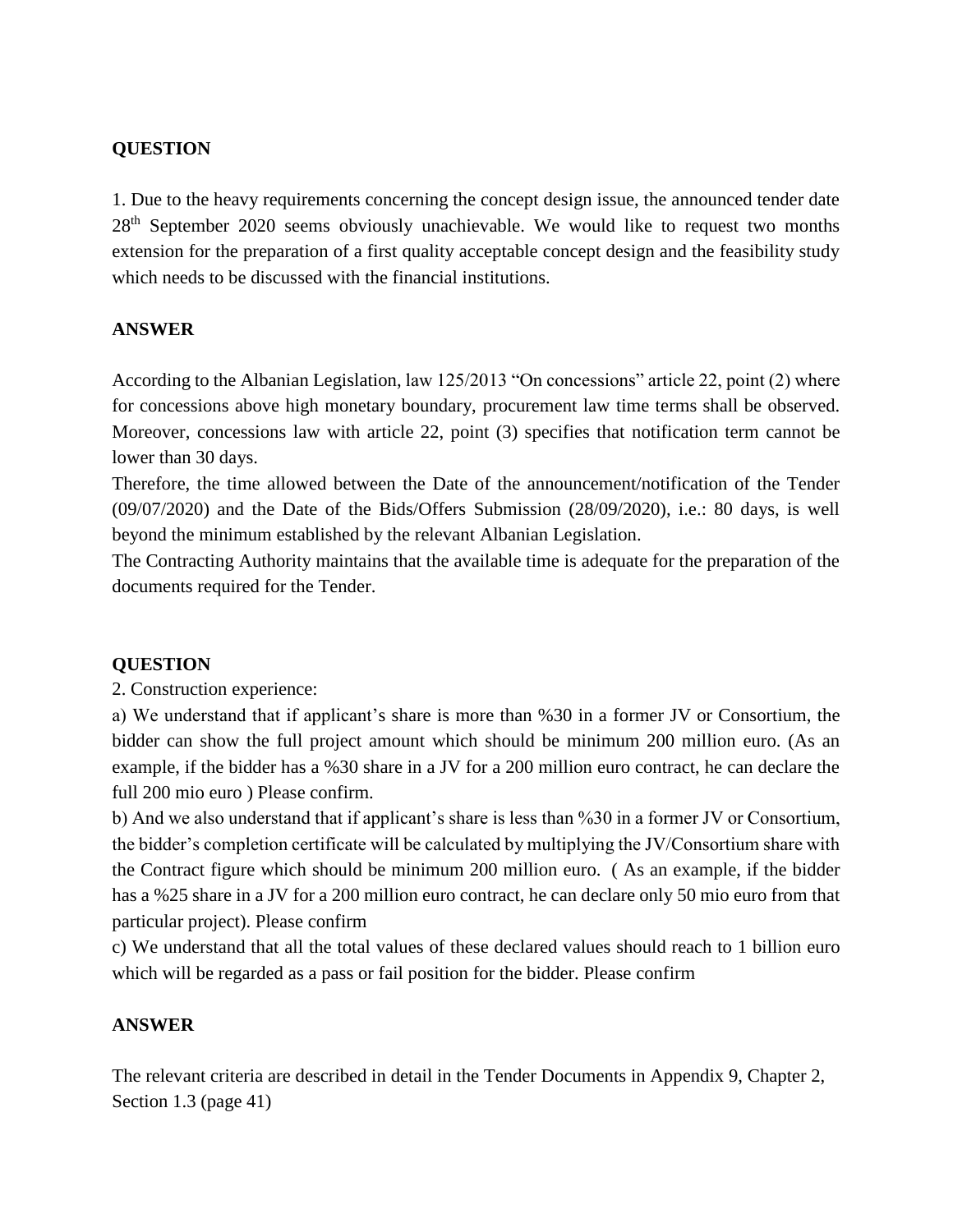# **QUESTION**

1. Due to the heavy requirements concerning the concept design issue, the announced tender date 28<sup>th</sup> September 2020 seems obviously unachievable. We would like to request two months extension for the preparation of a first quality acceptable concept design and the feasibility study which needs to be discussed with the financial institutions.

### **ANSWER**

According to the Albanian Legislation, law 125/2013 "On concessions" article 22, point (2) where for concessions above high monetary boundary, procurement law time terms shall be observed. Moreover, concessions law with article 22, point (3) specifies that notification term cannot be lower than 30 days.

Therefore, the time allowed between the Date of the announcement/notification of the Tender (09/07/2020) and the Date of the Bids/Offers Submission (28/09/2020), i.e.: 80 days, is well beyond the minimum established by the relevant Albanian Legislation.

The Contracting Authority maintains that the available time is adequate for the preparation of the documents required for the Tender.

# **QUESTION**

2. Construction experience:

a) We understand that if applicant's share is more than %30 in a former JV or Consortium, the bidder can show the full project amount which should be minimum 200 million euro. (As an example, if the bidder has a %30 share in a JV for a 200 million euro contract, he can declare the full 200 mio euro ) Please confirm.

b) And we also understand that if applicant's share is less than %30 in a former JV or Consortium, the bidder's completion certificate will be calculated by multiplying the JV/Consortium share with the Contract figure which should be minimum 200 million euro. ( As an example, if the bidder has a %25 share in a JV for a 200 million euro contract, he can declare only 50 mio euro from that particular project). Please confirm

c) We understand that all the total values of these declared values should reach to 1 billion euro which will be regarded as a pass or fail position for the bidder. Please confirm

#### **ANSWER**

The relevant criteria are described in detail in the Tender Documents in Appendix 9, Chapter 2, Section 1.3 (page 41)